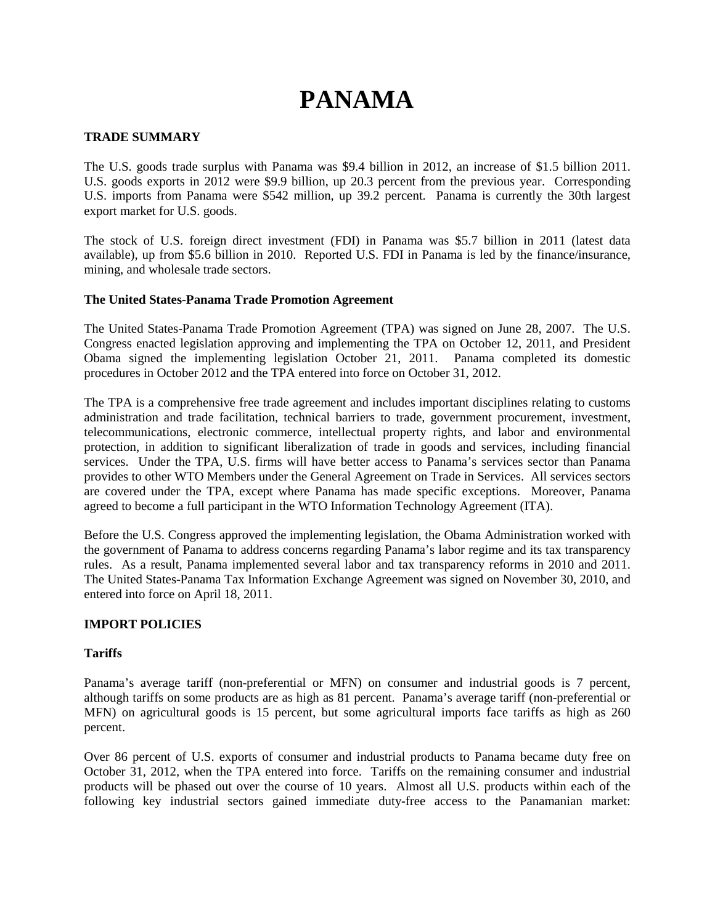# **PANAMA**

## **TRADE SUMMARY**

The U.S. goods trade surplus with Panama was \$9.4 billion in 2012, an increase of \$1.5 billion 2011. U.S. goods exports in 2012 were \$9.9 billion, up 20.3 percent from the previous year. Corresponding U.S. imports from Panama were \$542 million, up 39.2 percent. Panama is currently the 30th largest export market for U.S. goods.

The stock of U.S. foreign direct investment (FDI) in Panama was \$5.7 billion in 2011 (latest data available), up from \$5.6 billion in 2010. Reported U.S. FDI in Panama is led by the finance/insurance, mining, and wholesale trade sectors.

### **The United States-Panama Trade Promotion Agreement**

The United States-Panama Trade Promotion Agreement (TPA) was signed on June 28, 2007. The U.S. Congress enacted legislation approving and implementing the TPA on October 12, 2011, and President Obama signed the implementing legislation October 21, 2011. Panama completed its domestic procedures in October 2012 and the TPA entered into force on October 31, 2012.

The TPA is a comprehensive free trade agreement and includes important disciplines relating to customs administration and trade facilitation, technical barriers to trade, government procurement, investment, telecommunications, electronic commerce, intellectual property rights, and labor and environmental protection, in addition to significant liberalization of trade in goods and services, including financial services. Under the TPA, U.S. firms will have better access to Panama's services sector than Panama provides to other WTO Members under the General Agreement on Trade in Services. All services sectors are covered under the TPA, except where Panama has made specific exceptions. Moreover, Panama agreed to become a full participant in the WTO Information Technology Agreement (ITA).

Before the U.S. Congress approved the implementing legislation, the Obama Administration worked with the government of Panama to address concerns regarding Panama's labor regime and its tax transparency rules. As a result, Panama implemented several labor and tax transparency reforms in 2010 and 2011. The United States-Panama Tax Information Exchange Agreement was signed on November 30, 2010, and entered into force on April 18, 2011.

### **IMPORT POLICIES**

### **Tariffs**

Panama's average tariff (non-preferential or MFN) on consumer and industrial goods is 7 percent, although tariffs on some products are as high as 81 percent. Panama's average tariff (non-preferential or MFN) on agricultural goods is 15 percent, but some agricultural imports face tariffs as high as 260 percent.

Over 86 percent of U.S. exports of consumer and industrial products to Panama became duty free on October 31, 2012, when the TPA entered into force. Tariffs on the remaining consumer and industrial products will be phased out over the course of 10 years. Almost all U.S. products within each of the following key industrial sectors gained immediate duty-free access to the Panamanian market: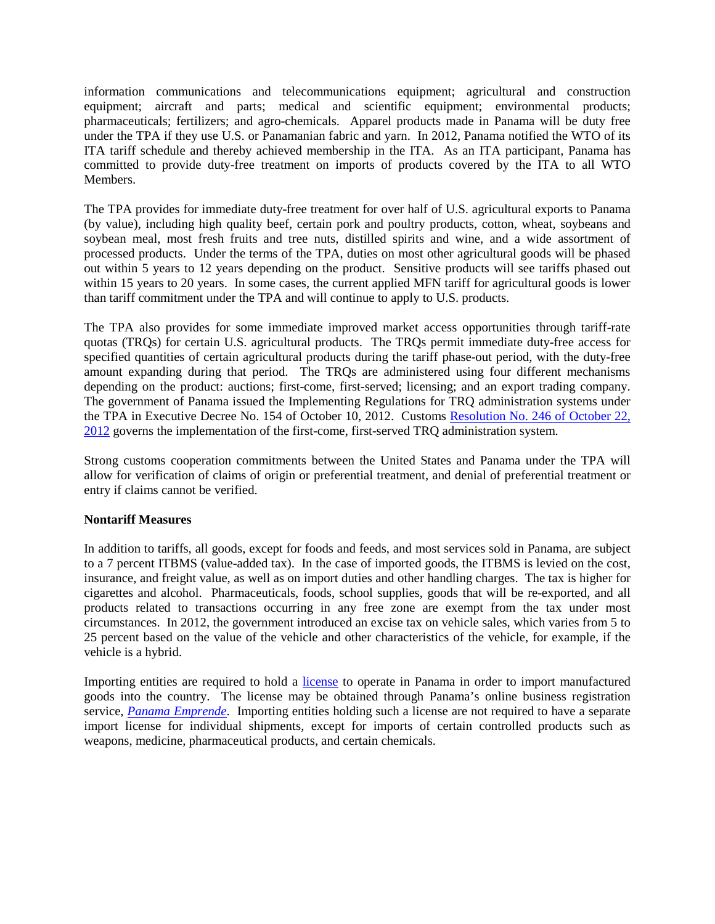information communications and telecommunications equipment; agricultural and construction equipment; aircraft and parts; medical and scientific equipment; environmental products; pharmaceuticals; fertilizers; and agro-chemicals. Apparel products made in Panama will be duty free under the TPA if they use U.S. or Panamanian fabric and yarn. In 2012, Panama notified the WTO of its ITA tariff schedule and thereby achieved membership in the ITA. As an ITA participant, Panama has committed to provide duty-free treatment on imports of products covered by the ITA to all WTO Members.

The TPA provides for immediate duty-free treatment for over half of U.S. agricultural exports to Panama (by value), including high quality beef, certain pork and poultry products, cotton, wheat, soybeans and soybean meal, most fresh fruits and tree nuts, distilled spirits and wine, and a wide assortment of processed products. Under the terms of the TPA, duties on most other agricultural goods will be phased out within 5 years to 12 years depending on the product. Sensitive products will see tariffs phased out within 15 years to 20 years. In some cases, the current applied MFN tariff for agricultural goods is lower than tariff commitment under the TPA and will continue to apply to U.S. products.

The TPA also provides for some immediate improved market access opportunities through tariff-rate quotas (TRQs) for certain U.S. agricultural products. The TRQs permit immediate duty-free access for specified quantities of certain agricultural products during the tariff phase-out period, with the duty-free amount expanding during that period. The TRQs are administered using four different mechanisms depending on the product: auctions; first-come, first-served; licensing; and an export trading company. The government of Panama issued the Implementing Regulations for TRQ administration systems under the TPA in Executive Decree No. 154 of October 10, 2012. Customs Resolution No. 246 of October 22, 2012 governs the implementation of the first-come, first-served TRQ administration system.

Strong customs cooperation commitments between the United States and Panama under the TPA will allow for verification of claims of origin or preferential treatment, and denial of preferential treatment or entry if claims cannot be verified.

### **Nontariff Measures**

In addition to tariffs, all goods, except for foods and feeds, and most services sold in Panama, are subject to a 7 percent ITBMS (value-added tax). In the case of imported goods, the ITBMS is levied on the cost, insurance, and freight value, as well as on import duties and other handling charges. The tax is higher for cigarettes and alcohol. Pharmaceuticals, foods, school supplies, goods that will be re-exported, and all products related to transactions occurring in any free zone are exempt from the tax under most circumstances. In 2012, the government introduced an excise tax on vehicle sales, which varies from 5 to 25 percent based on the value of the vehicle and other characteristics of the vehicle, for example, if the vehicle is a hybrid.

Importing entities are required to hold a *license* to operate in Panama in order to import manufactured goods into the country. The license may be obtained through Panama's online business registration service, *Panama Emprende*. Importing entities holding such a license are not required to have a separate import license for individual shipments, except for imports of certain controlled products such as weapons, medicine, pharmaceutical products, and certain chemicals.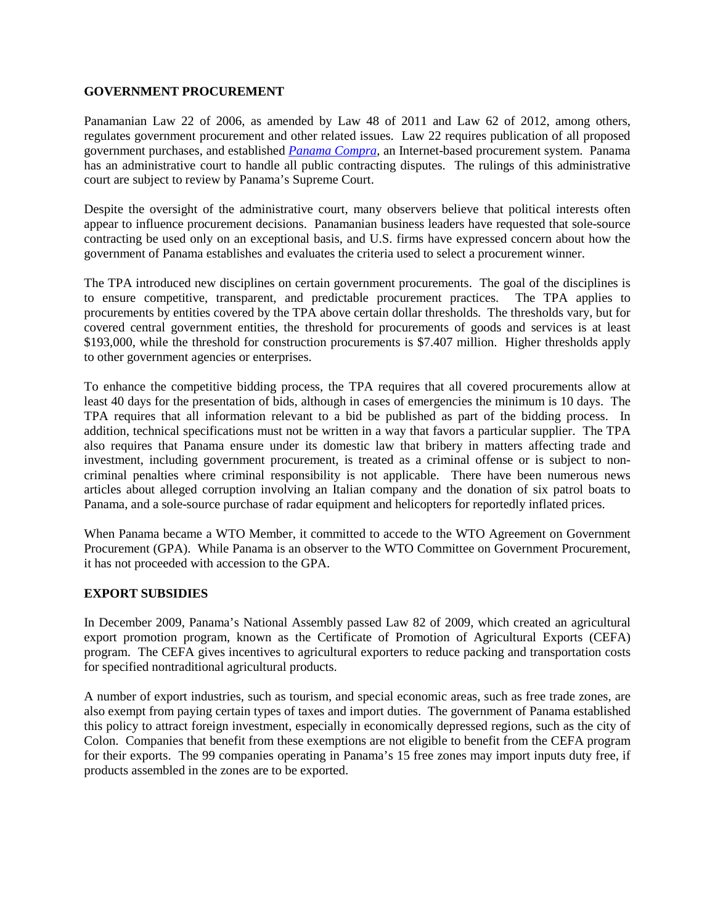#### **GOVERNMENT PROCUREMENT**

Panamanian Law 22 of 2006, as amended by Law 48 of 2011 and Law 62 of 2012, among others, regulates government procurement and other related issues. Law 22 requires publication of all proposed government purchases, and established *Panama Compra*, an Internet-based procurement system. Panama has an administrative court to handle all public contracting disputes. The rulings of this administrative court are subject to review by Panama's Supreme Court.

Despite the oversight of the administrative court, many observers believe that political interests often appear to influence procurement decisions. Panamanian business leaders have requested that sole-source contracting be used only on an exceptional basis, and U.S. firms have expressed concern about how the government of Panama establishes and evaluates the criteria used to select a procurement winner.

The TPA introduced new disciplines on certain government procurements. The goal of the disciplines is to ensure competitive, transparent, and predictable procurement practices. The TPA applies to procurements by entities covered by the TPA above certain dollar thresholds. The thresholds vary, but for covered central government entities, the threshold for procurements of goods and services is at least \$193,000, while the threshold for construction procurements is \$7.407 million. Higher thresholds apply to other government agencies or enterprises.

To enhance the competitive bidding process, the TPA requires that all covered procurements allow at least 40 days for the presentation of bids, although in cases of emergencies the minimum is 10 days. The TPA requires that all information relevant to a bid be published as part of the bidding process. In addition, technical specifications must not be written in a way that favors a particular supplier. The TPA also requires that Panama ensure under its domestic law that bribery in matters affecting trade and investment, including government procurement, is treated as a criminal offense or is subject to noncriminal penalties where criminal responsibility is not applicable. There have been numerous news articles about alleged corruption involving an Italian company and the donation of six patrol boats to Panama, and a sole-source purchase of radar equipment and helicopters for reportedly inflated prices.

When Panama became a WTO Member, it committed to accede to the WTO Agreement on Government Procurement (GPA). While Panama is an observer to the WTO Committee on Government Procurement, it has not proceeded with accession to the GPA.

### **EXPORT SUBSIDIES**

In December 2009, Panama's National Assembly passed Law 82 of 2009, which created an agricultural export promotion program, known as the Certificate of Promotion of Agricultural Exports (CEFA) program. The CEFA gives incentives to agricultural exporters to reduce packing and transportation costs for specified nontraditional agricultural products.

A number of export industries, such as tourism, and special economic areas, such as free trade zones, are also exempt from paying certain types of taxes and import duties. The government of Panama established this policy to attract foreign investment, especially in economically depressed regions, such as the city of Colon. Companies that benefit from these exemptions are not eligible to benefit from the CEFA program for their exports. The 99 companies operating in Panama's 15 free zones may import inputs duty free, if products assembled in the zones are to be exported.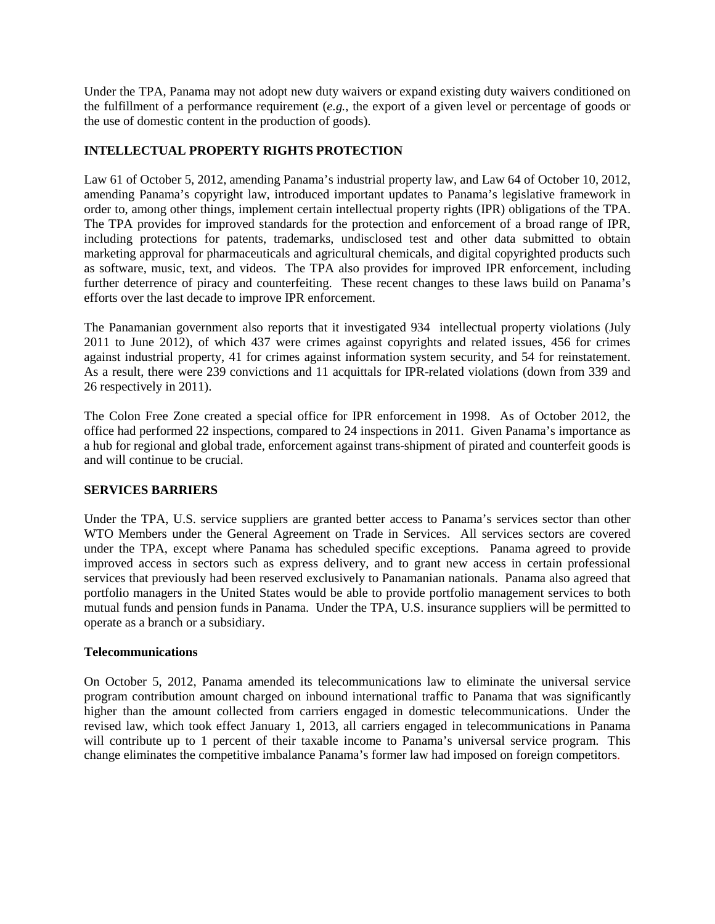Under the TPA, Panama may not adopt new duty waivers or expand existing duty waivers conditioned on the fulfillment of a performance requirement (*e.g.*, the export of a given level or percentage of goods or the use of domestic content in the production of goods).

# **INTELLECTUAL PROPERTY RIGHTS PROTECTION**

Law 61 of October 5, 2012, amending Panama's industrial property law, and Law 64 of October 10, 2012, amending Panama's copyright law, introduced important updates to Panama's legislative framework in order to, among other things, implement certain intellectual property rights (IPR) obligations of the TPA. The TPA provides for improved standards for the protection and enforcement of a broad range of IPR, including protections for patents, trademarks, undisclosed test and other data submitted to obtain marketing approval for pharmaceuticals and agricultural chemicals, and digital copyrighted products such as software, music, text, and videos. The TPA also provides for improved IPR enforcement, including further deterrence of piracy and counterfeiting. These recent changes to these laws build on Panama's efforts over the last decade to improve IPR enforcement.

The Panamanian government also reports that it investigated 934 intellectual property violations (July 2011 to June 2012), of which 437 were crimes against copyrights and related issues, 456 for crimes against industrial property, 41 for crimes against information system security, and 54 for reinstatement. As a result, there were 239 convictions and 11 acquittals for IPR-related violations (down from 339 and 26 respectively in 2011).

The Colon Free Zone created a special office for IPR enforcement in 1998. As of October 2012, the office had performed 22 inspections, compared to 24 inspections in 2011. Given Panama's importance as a hub for regional and global trade, enforcement against trans-shipment of pirated and counterfeit goods is and will continue to be crucial.

# **SERVICES BARRIERS**

Under the TPA, U.S. service suppliers are granted better access to Panama's services sector than other WTO Members under the General Agreement on Trade in Services. All services sectors are covered under the TPA, except where Panama has scheduled specific exceptions. Panama agreed to provide improved access in sectors such as express delivery, and to grant new access in certain professional services that previously had been reserved exclusively to Panamanian nationals. Panama also agreed that portfolio managers in the United States would be able to provide portfolio management services to both mutual funds and pension funds in Panama. Under the TPA, U.S. insurance suppliers will be permitted to operate as a branch or a subsidiary.

### **Telecommunications**

On October 5, 2012, Panama amended its telecommunications law to eliminate the universal service program contribution amount charged on inbound international traffic to Panama that was significantly higher than the amount collected from carriers engaged in domestic telecommunications. Under the revised law, which took effect January 1, 2013, all carriers engaged in telecommunications in Panama will contribute up to 1 percent of their taxable income to Panama's universal service program. This change eliminates the competitive imbalance Panama's former law had imposed on foreign competitors.